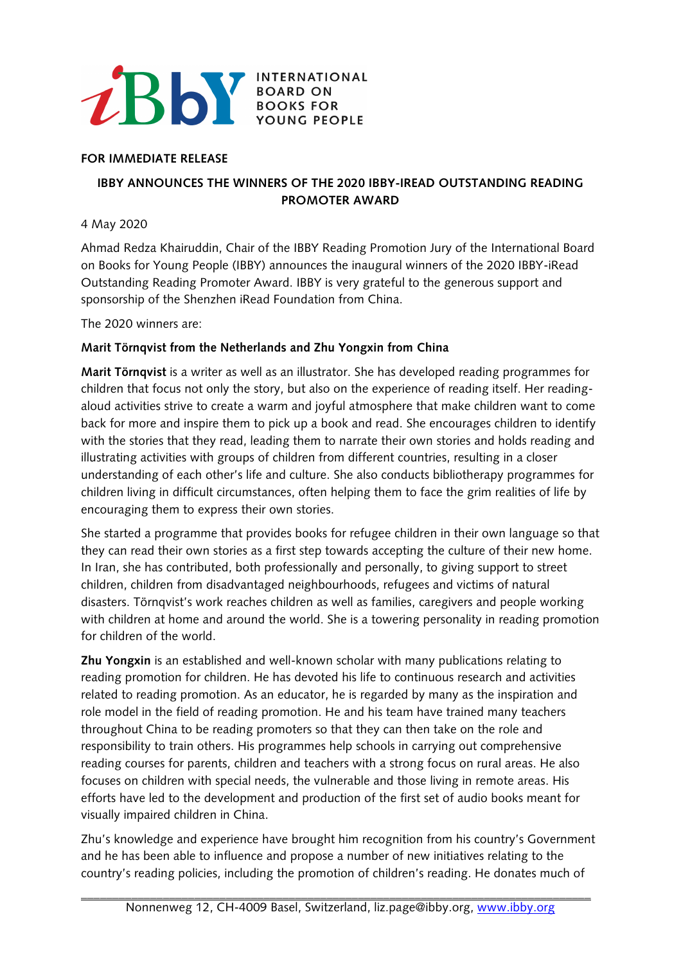

### **FOR IMMEDIATE RELEASE**

# **IBBY ANNOUNCES THE WINNERS OF THE 2020 IBBY-IREAD OUTSTANDING READING PROMOTER AWARD**

### 4 May 2020

Ahmad Redza Khairuddin, Chair of the IBBY Reading Promotion Jury of the International Board on Books for Young People (IBBY) announces the inaugural winners of the 2020 IBBY-iRead Outstanding Reading Promoter Award. IBBY is very grateful to the generous support and sponsorship of the Shenzhen iRead Foundation from China.

The 2020 winners are:

## **Marit Törnqvist from the Netherlands and Zhu Yongxin from China**

**Marit Törnqvist** is a writer as well as an illustrator. She has developed reading programmes for children that focus not only the story, but also on the experience of reading itself. Her readingaloud activities strive to create a warm and joyful atmosphere that make children want to come back for more and inspire them to pick up a book and read. She encourages children to identify with the stories that they read, leading them to narrate their own stories and holds reading and illustrating activities with groups of children from different countries, resulting in a closer understanding of each other's life and culture. She also conducts bibliotherapy programmes for children living in difficult circumstances, often helping them to face the grim realities of life by encouraging them to express their own stories.

She started a programme that provides books for refugee children in their own language so that they can read their own stories as a first step towards accepting the culture of their new home. In Iran, she has contributed, both professionally and personally, to giving support to street children, children from disadvantaged neighbourhoods, refugees and victims of natural disasters. Törnqvist's work reaches children as well as families, caregivers and people working with children at home and around the world. She is a towering personality in reading promotion for children of the world.

**Zhu Yongxin** is an established and well-known scholar with many publications relating to reading promotion for children. He has devoted his life to continuous research and activities related to reading promotion. As an educator, he is regarded by many as the inspiration and role model in the field of reading promotion. He and his team have trained many teachers throughout China to be reading promoters so that they can then take on the role and responsibility to train others. His programmes help schools in carrying out comprehensive reading courses for parents, children and teachers with a strong focus on rural areas. He also focuses on children with special needs, the vulnerable and those living in remote areas. His efforts have led to the development and production of the first set of audio books meant for visually impaired children in China.

Zhu's knowledge and experience have brought him recognition from his country's Government and he has been able to influence and propose a number of new initiatives relating to the country's reading policies, including the promotion of children's reading. He donates much of